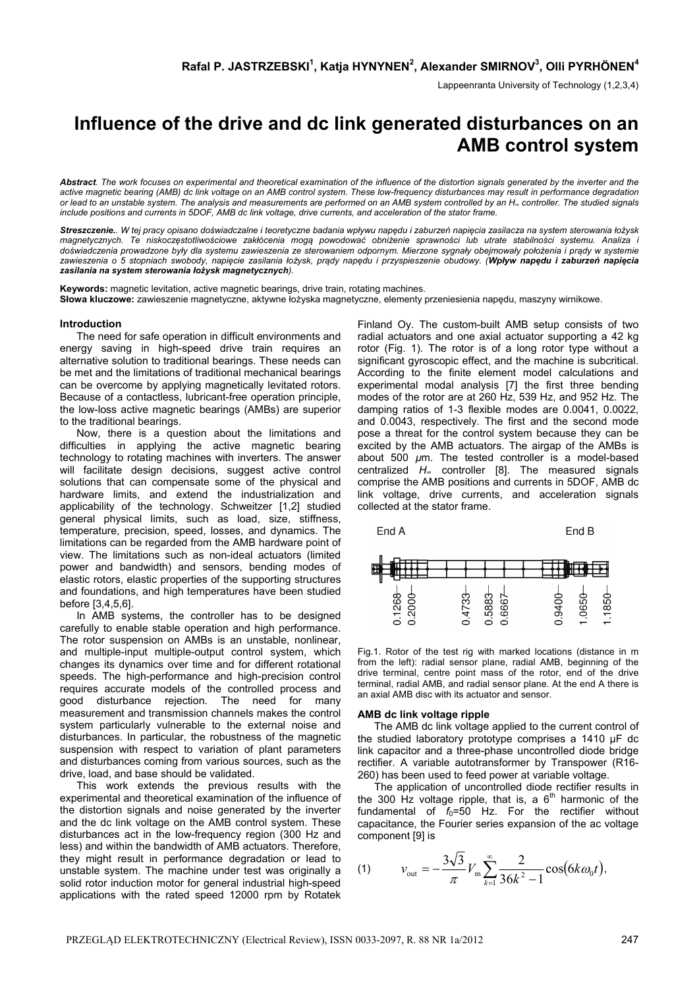Lappeenranta University of Technology (1,2,3,4)

# **Influence of the drive and dc link generated disturbances on an AMB control system**

*Abstract. The work focuses on experimental and theoretical examination of the influence of the distortion signals generated by the inverter and the active magnetic bearing (AMB) dc link voltage on an AMB control system. These low-frequency disturbances may result in performance degradation or lead to an unstable system. The analysis and measurements are performed on an AMB system controlled by an H∞ controller. The studied signals include positions and currents in 5DOF, AMB dc link voltage, drive currents, and acceleration of the stator frame.* 

Streszczenie.. W tej pracy opisano doświadczalne i teoretyczne badania wpływu napędu i zaburzeń napięcia zasilacza na system sterowania łożysk magnetycznych. Te niskoczęstotliwościowe zakłócenia mogą powodować obniżenie sprawności lub utrate stabilności systemu. Analiza i doświadczenia prowadzone były dla systemu zawieszenia ze sterowaniem odpornym. Mierzone sygnały obejmowały położenia i prądy w systemie zawieszenia o 5 stopniach swobody, napięcie zasilania łożysk, prądy napędu i przyspieszenie obudowy. (Wpływ napędu i zaburzeń napięcia *zasilania na system sterowania łożysk magnetycznych).* 

**Keywords:** magnetic levitation, active magnetic bearings, drive train, rotating machines. **Słowa kluczowe:** zawieszenie magnetyczne, aktywne łożyska magnetyczne, elementy przeniesienia napędu, maszyny wirnikowe.

### **Introduction**

 The need for safe operation in difficult environments and energy saving in high-speed drive train requires an alternative solution to traditional bearings. These needs can be met and the limitations of traditional mechanical bearings can be overcome by applying magnetically levitated rotors. Because of a contactless, lubricant-free operation principle, the low-loss active magnetic bearings (AMBs) are superior to the traditional bearings.

 Now, there is a question about the limitations and difficulties in applying the active magnetic bearing technology to rotating machines with inverters. The answer will facilitate design decisions, suggest active control solutions that can compensate some of the physical and hardware limits, and extend the industrialization and applicability of the technology. Schweitzer [1,2] studied general physical limits, such as load, size, stiffness, temperature, precision, speed, losses, and dynamics. The limitations can be regarded from the AMB hardware point of view. The limitations such as non-ideal actuators (limited power and bandwidth) and sensors, bending modes of elastic rotors, elastic properties of the supporting structures and foundations, and high temperatures have been studied before [3,4,5,6].

 In AMB systems, the controller has to be designed carefully to enable stable operation and high performance. The rotor suspension on AMBs is an unstable, nonlinear, and multiple-input multiple-output control system, which changes its dynamics over time and for different rotational speeds. The high-performance and high-precision control requires accurate models of the controlled process and good disturbance rejection. The need for many measurement and transmission channels makes the control system particularly vulnerable to the external noise and disturbances. In particular, the robustness of the magnetic suspension with respect to variation of plant parameters and disturbances coming from various sources, such as the drive, load, and base should be validated.

 This work extends the previous results with the experimental and theoretical examination of the influence of the distortion signals and noise generated by the inverter and the dc link voltage on the AMB control system. These disturbances act in the low-frequency region (300 Hz and less) and within the bandwidth of AMB actuators. Therefore, they might result in performance degradation or lead to unstable system. The machine under test was originally a solid rotor induction motor for general industrial high-speed applications with the rated speed 12000 rpm by Rotatek

Finland Oy. The custom-built AMB setup consists of two radial actuators and one axial actuator supporting a 42 kg rotor (Fig. 1). The rotor is of a long rotor type without a significant gyroscopic effect, and the machine is subcritical. According to the finite element model calculations and experimental modal analysis [7] the first three bending modes of the rotor are at 260 Hz, 539 Hz, and 952 Hz. The damping ratios of 1-3 flexible modes are 0.0041, 0.0022, and 0.0043, respectively. The first and the second mode pose a threat for the control system because they can be excited by the AMB actuators. The airgap of the AMBs is about 500 *µ*m. The tested controller is a model-based centralized *H*∞ controller [8]. The measured signals comprise the AMB positions and currents in 5DOF, AMB dc link voltage, drive currents, and acceleration signals collected at the stator frame.



Fig.1. Rotor of the test rig with marked locations (distance in m from the left): radial sensor plane, radial AMB, beginning of the drive terminal, centre point mass of the rotor, end of the drive terminal, radial AMB, and radial sensor plane. At the end A there is an axial AMB disc with its actuator and sensor.

#### **AMB dc link voltage ripple**

 The AMB dc link voltage applied to the current control of the studied laboratory prototype comprises a 1410 µF dc link capacitor and a three-phase uncontrolled diode bridge rectifier. A variable autotransformer by Transpower (R16- 260) has been used to feed power at variable voltage.

 The application of uncontrolled diode rectifier results in the 300 Hz voltage ripple, that is, a  $6<sup>th</sup>$  harmonic of the fundamental of  $f_0$ =50 Hz. For the rectifier without capacitance, the Fourier series expansion of the ac voltage component [9] is

(1) 
$$
v_{\text{out}} = -\frac{3\sqrt{3}}{\pi} V_{\text{m}} \sum_{k=1}^{\infty} \frac{2}{36k^2 - 1} \cos(6k\omega_0 t),
$$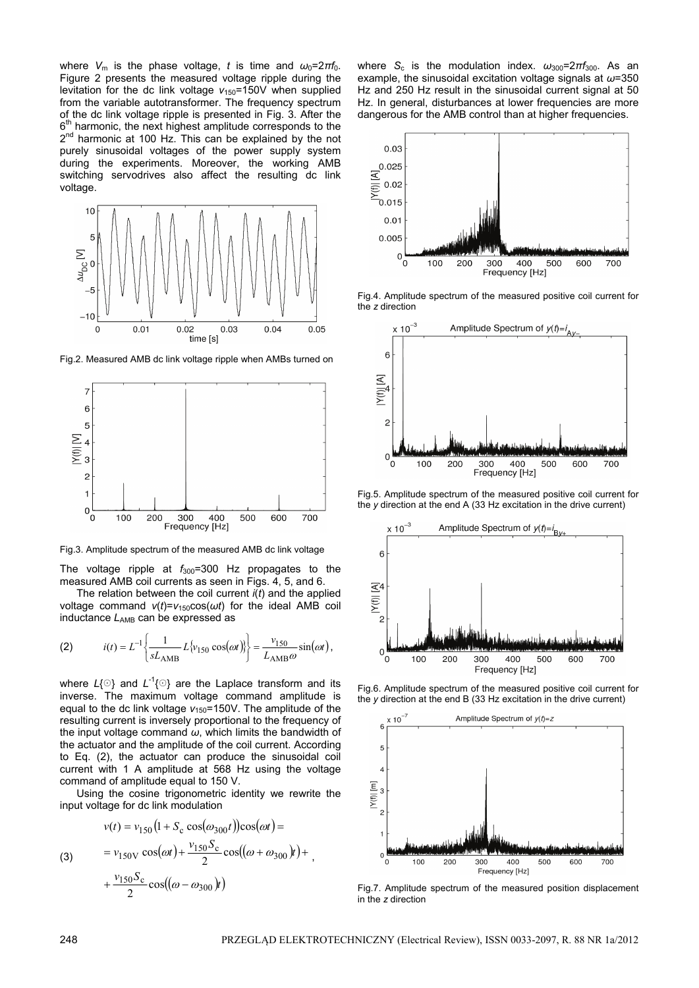where  $V_m$  is the phase voltage, *t* is time and  $\omega_0 = 2\pi f_0$ . Figure 2 presents the measured voltage ripple during the levitation for the dc link voltage  $v_{150}=150V$  when supplied from the variable autotransformer. The frequency spectrum of the dc link voltage ripple is presented in Fig. 3. After the 6<sup>th</sup> harmonic, the next highest amplitude corresponds to the 2<sup>nd</sup> harmonic at 100 Hz. This can be explained by the not purely sinusoidal voltages of the power supply system during the experiments. Moreover, the working AMB switching servodrives also affect the resulting dc link voltage.



Fig.2. Measured AMB dc link voltage ripple when AMBs turned on



Fig.3. Amplitude spectrum of the measured AMB dc link voltage

The voltage ripple at  $f_{300}$ =300 Hz propagates to the measured AMB coil currents as seen in Figs. 4, 5, and 6.

 The relation between the coil current *i*(*t*) and the applied voltage command *v*(*t*)=*v*150cos(*ωt*) for the ideal AMB coil inductance  $L_{AMB}$  can be expressed as

(2) 
$$
i(t) = L^{-1} \left\{ \frac{1}{sL_{\text{AMB}}} L\{v_{150} \cos(\omega t)\} \right\} = \frac{v_{150}}{L_{\text{AMB}} \omega} \sin(\omega t),
$$

where  $L\{\odot\}$  and  $L^{-1}\{\odot\}$  are the Laplace transform and its inverse. The maximum voltage command amplitude is equal to the dc link voltage  $v_{150}$ =150V. The amplitude of the resulting current is inversely proportional to the frequency of the input voltage command *ω*, which limits the bandwidth of the actuator and the amplitude of the coil current. According to Eq. (2), the actuator can produce the sinusoidal coil current with 1 A amplitude at 568 Hz using the voltage command of amplitude equal to 150 V.

 Using the cosine trigonometric identity we rewrite the input voltage for dc link modulation

,

(3) 
$$
v(t) = v_{150} (1 + S_c \cos(\omega_{300} t)) \cos(\omega t) =
$$

$$
= v_{150V} \cos(\omega t) + \frac{v_{150} S_c}{2} \cos((\omega + \omega_{300}) t) +
$$

$$
+ \frac{v_{150} S_c}{2} \cos((\omega - \omega_{300}) t)
$$

where  $S_c$  is the modulation index.  $\omega_{300} = 2\pi f_{300}$ . As an example, the sinusoidal excitation voltage signals at *ω*=350 Hz and 250 Hz result in the sinusoidal current signal at 50 Hz. In general, disturbances at lower frequencies are more dangerous for the AMB control than at higher frequencies.



Fig.4. Amplitude spectrum of the measured positive coil current for the *z* direction



Fig.5. Amplitude spectrum of the measured positive coil current for the *y* direction at the end A (33 Hz excitation in the drive current)



Fig.6. Amplitude spectrum of the measured positive coil current for the *y* direction at the end B (33 Hz excitation in the drive current)



Fig.7. Amplitude spectrum of the measured position displacement in the *z* direction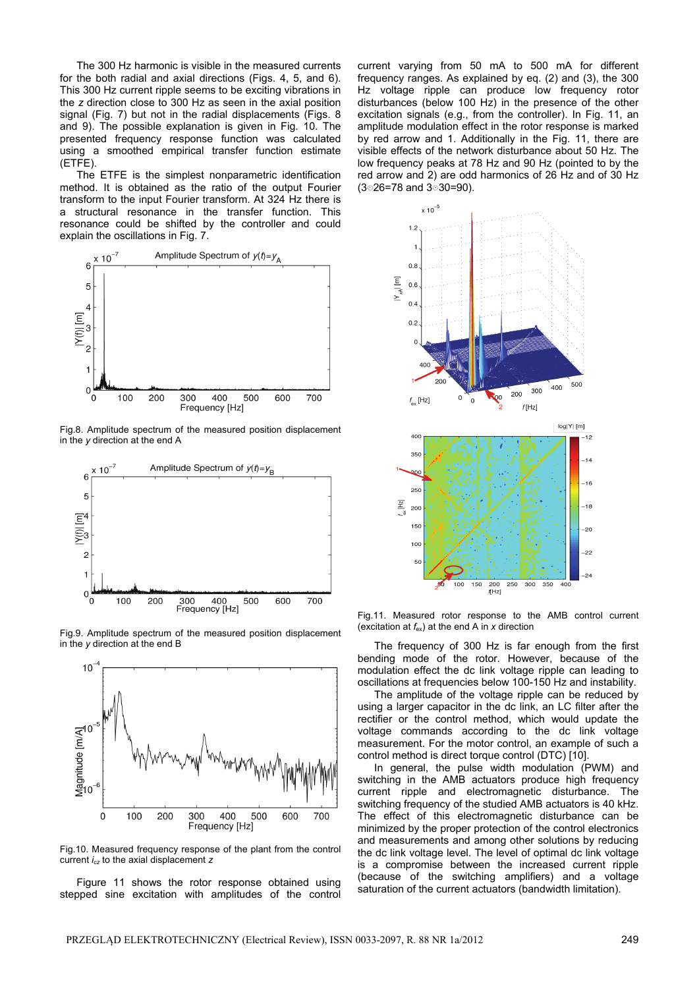The 300 Hz harmonic is visible in the measured currents for the both radial and axial directions (Figs. 4, 5, and 6). This 300 Hz current ripple seems to be exciting vibrations in the *z* direction close to 300 Hz as seen in the axial position signal (Fig. 7) but not in the radial displacements (Figs. 8 and 9). The possible explanation is given in Fig. 10. The presented frequency response function was calculated using a smoothed empirical transfer function estimate (ETFE).

The ETFE is the simplest nonparametric identification method. It is obtained as the ratio of the output Fourier transform to the input Fourier transform. At 324 Hz there is a structural resonance in the transfer function. This resonance could be shifted by the controller and could explain the oscillations in Fig. 7.



Fig.8. Amplitude spectrum of the measured position displacement in the *y* direction at the end A



Fig.9. Amplitude spectrum of the measured position displacement in the *y* direction at the end B



Fig.10. Measured frequency response of the plant from the control current *i*c*z* to the axial displacement *z* 

 Figure 11 shows the rotor response obtained using stepped sine excitation with amplitudes of the control current varying from 50 mA to 500 mA for different frequency ranges. As explained by eq. (2) and (3), the 300 Hz voltage ripple can produce low frequency rotor disturbances (below 100 Hz) in the presence of the other excitation signals (e.g., from the controller). In Fig. 11, an amplitude modulation effect in the rotor response is marked by red arrow and 1. Additionally in the Fig. 11, there are visible effects of the network disturbance about 50 Hz. The low frequency peaks at 78 Hz and 90 Hz (pointed to by the red arrow and 2) are odd harmonics of 26 Hz and of 30 Hz  $(3 \circ 26 = 78$  and  $3 \circ 30 = 90$ ).



Fig.11. Measured rotor response to the AMB control current (excitation at *f*ex) at the end A in *x* direction

 The frequency of 300 Hz is far enough from the first bending mode of the rotor. However, because of the modulation effect the dc link voltage ripple can leading to oscillations at frequencies below 100-150 Hz and instability.

 The amplitude of the voltage ripple can be reduced by using a larger capacitor in the dc link, an LC filter after the rectifier or the control method, which would update the voltage commands according to the dc link voltage measurement. For the motor control, an example of such a control method is direct torque control (DTC) [10].

 In general, the pulse width modulation (PWM) and switching in the AMB actuators produce high frequency current ripple and electromagnetic disturbance. The switching frequency of the studied AMB actuators is 40 kHz. The effect of this electromagnetic disturbance can be minimized by the proper protection of the control electronics and measurements and among other solutions by reducing the dc link voltage level. The level of optimal dc link voltage is a compromise between the increased current ripple (because of the switching amplifiers) and a voltage saturation of the current actuators (bandwidth limitation).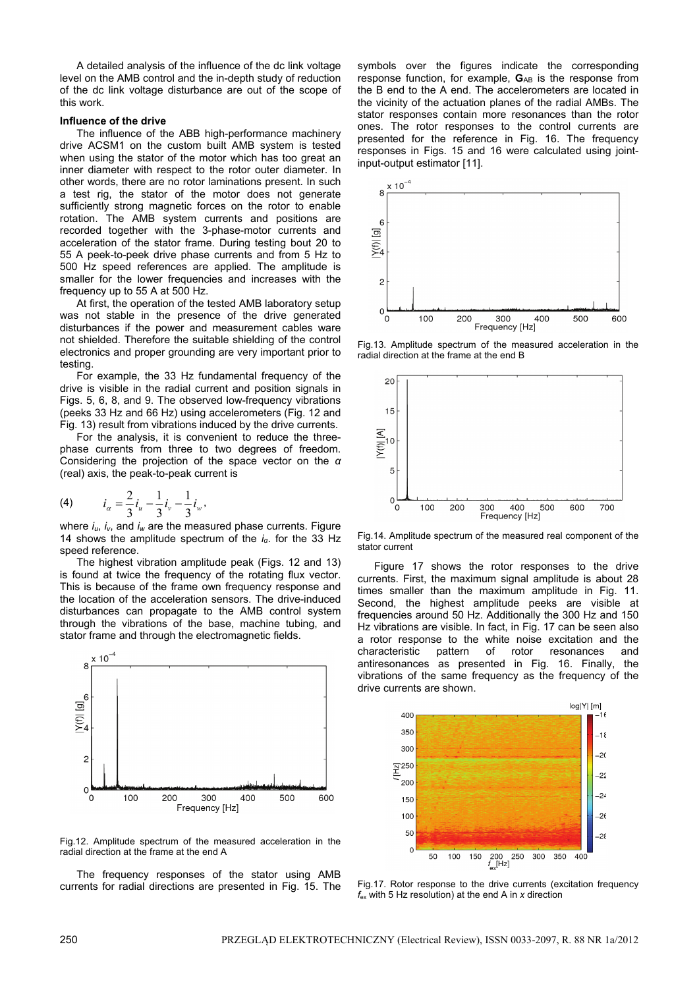A detailed analysis of the influence of the dc link voltage level on the AMB control and the in-depth study of reduction of the dc link voltage disturbance are out of the scope of this work.

# **Influence of the drive**

 The influence of the ABB high-performance machinery drive ACSM1 on the custom built AMB system is tested when using the stator of the motor which has too great an inner diameter with respect to the rotor outer diameter. In other words, there are no rotor laminations present. In such a test rig, the stator of the motor does not generate sufficiently strong magnetic forces on the rotor to enable rotation. The AMB system currents and positions are recorded together with the 3-phase-motor currents and acceleration of the stator frame. During testing bout 20 to 55 A peek-to-peek drive phase currents and from 5 Hz to 500 Hz speed references are applied. The amplitude is smaller for the lower frequencies and increases with the frequency up to 55 A at 500 Hz.

 At first, the operation of the tested AMB laboratory setup was not stable in the presence of the drive generated disturbances if the power and measurement cables ware not shielded. Therefore the suitable shielding of the control electronics and proper grounding are very important prior to testing.

 For example, the 33 Hz fundamental frequency of the drive is visible in the radial current and position signals in Figs. 5, 6, 8, and 9. The observed low-frequency vibrations (peeks 33 Hz and 66 Hz) using accelerometers (Fig. 12 and Fig. 13) result from vibrations induced by the drive currents.

 For the analysis, it is convenient to reduce the threephase currents from three to two degrees of freedom. Considering the projection of the space vector on the *α* (real) axis, the peak-to-peak current is

(4) 
$$
i_{\alpha} = \frac{2}{3}i_{\alpha} - \frac{1}{3}i_{\nu} - \frac{1}{3}i_{\nu},
$$

where *iu*, *iv*, and *iw* are the measured phase currents. Figure 14 shows the amplitude spectrum of the *iα*. for the 33 Hz speed reference.

 The highest vibration amplitude peak (Figs. 12 and 13) is found at twice the frequency of the rotating flux vector. This is because of the frame own frequency response and the location of the acceleration sensors. The drive-induced disturbances can propagate to the AMB control system through the vibrations of the base, machine tubing, and stator frame and through the electromagnetic fields.



Fig.12. Amplitude spectrum of the measured acceleration in the radial direction at the frame at the end A

 The frequency responses of the stator using AMB currents for radial directions are presented in Fig. 15. The symbols over the figures indicate the corresponding response function, for example, G<sub>AB</sub> is the response from the B end to the A end. The accelerometers are located in the vicinity of the actuation planes of the radial AMBs. The stator responses contain more resonances than the rotor ones. The rotor responses to the control currents are presented for the reference in Fig. 16. The frequency responses in Figs. 15 and 16 were calculated using jointinput-output estimator [11].



Fig.13. Amplitude spectrum of the measured acceleration in the radial direction at the frame at the end B



Fig.14. Amplitude spectrum of the measured real component of the stator current

 Figure 17 shows the rotor responses to the drive currents. First, the maximum signal amplitude is about 28 times smaller than the maximum amplitude in Fig. 11. Second, the highest amplitude peeks are visible at frequencies around 50 Hz. Additionally the 300 Hz and 150 Hz vibrations are visible. In fact, in Fig. 17 can be seen also a rotor response to the white noise excitation and the characteristic pattern of rotor resonances and antiresonances as presented in Fig. 16. Finally, the vibrations of the same frequency as the frequency of the drive currents are shown.



Fig.17. Rotor response to the drive currents (excitation frequency *f*ex with 5 Hz resolution) at the end A in *x* direction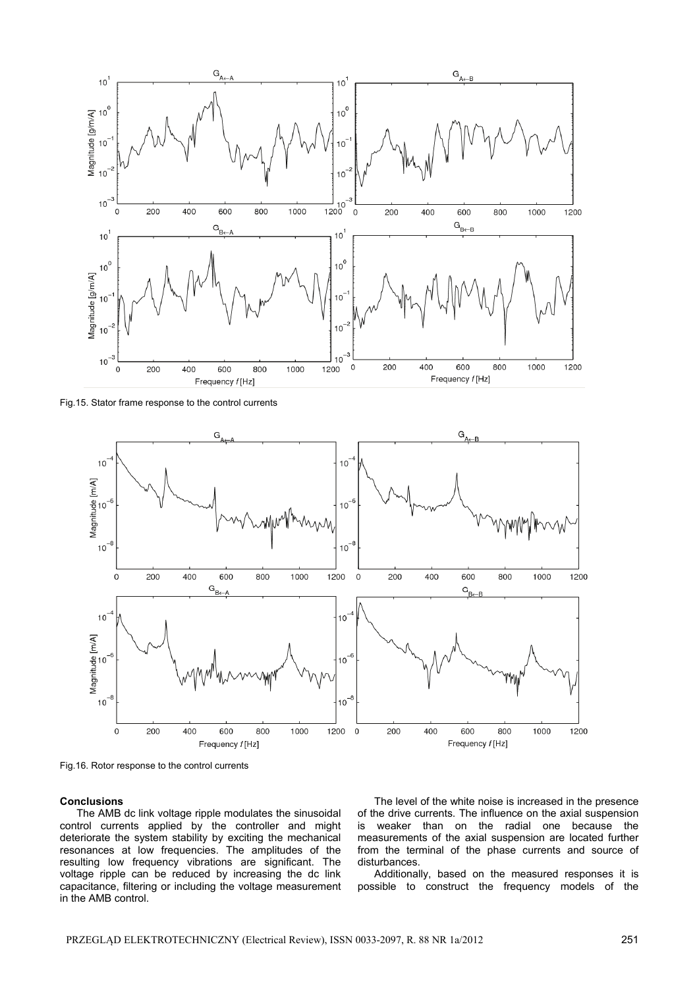

Fig.15. Stator frame response to the control currents



Fig.16. Rotor response to the control currents

# **Conclusions**

 The AMB dc link voltage ripple modulates the sinusoidal control currents applied by the controller and might deteriorate the system stability by exciting the mechanical resonances at low frequencies. The amplitudes of the resulting low frequency vibrations are significant. The voltage ripple can be reduced by increasing the dc link capacitance, filtering or including the voltage measurement in the AMB control.

 The level of the white noise is increased in the presence of the drive currents. The influence on the axial suspension is weaker than on the radial one because the measurements of the axial suspension are located further from the terminal of the phase currents and source of disturbances.

 Additionally, based on the measured responses it is possible to construct the frequency models of the